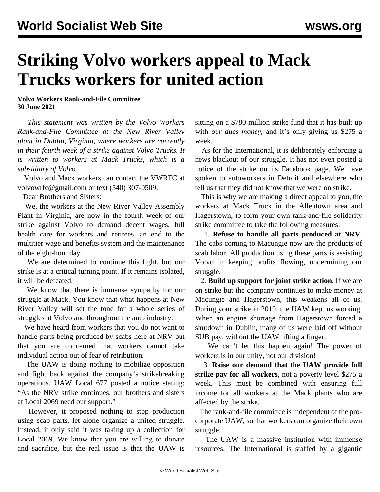## **Striking Volvo workers appeal to Mack Trucks workers for united action**

**Volvo Workers Rank-and-File Committee 30 June 2021**

 *This statement was written by the Volvo Workers Rank-and-File Committee at the New River Valley plant in Dublin, Virginia, where workers are currently in their fourth week of a strike against Volvo Trucks. It is written to workers at Mack Trucks, which is a subsidiary of Volvo.*

 Volvo and Mack workers can contact the VWRFC at [volvowrfc@gmail.com](mailto:volvowrfc@gmail.com) or text (540) 307-0509.

Dear Brothers and Sisters:

 We, the workers at the New River Valley Assembly Plant in Virginia, are now in the fourth week of our strike against Volvo to demand decent wages, full health care for workers and retirees, an end to the multitier wage and benefits system and the maintenance of the eight-hour day.

 We are determined to continue this fight, but our strike is at a critical turning point. If it remains isolated, it will be defeated.

 We know that there is immense sympathy for our struggle at Mack. You know that what happens at New River Valley will set the tone for a whole series of struggles at Volvo and throughout the auto industry.

 We have heard from workers that you do not want to handle parts being produced by scabs here at NRV but that you are concerned that workers cannot take individual action out of fear of retribution.

 The UAW is doing nothing to mobilize opposition and fight back against the company's strikebreaking operations. UAW Local 677 posted a notice stating: "As the NRV strike continues, our brothers and sisters at Local 2069 need our support."

 However, it proposed nothing to stop production using scab parts, let alone organize a united struggle. Instead, it only said it was taking up a collection for Local 2069. We know that you are willing to donate and sacrifice, but the real issue is that the UAW is

sitting on a \$780 million strike fund that it has built up with *our dues money*, and it's only giving us \$275 a week.

 As for the International, it is deliberately enforcing a news blackout of our struggle. It has not even posted a notice of the strike on its Facebook page. We have spoken to autoworkers in Detroit and elsewhere who tell us that they did not know that we were on strike.

 This is why we are making a direct appeal to you, the workers at Mack Truck in the Allentown area and Hagerstown, to form your own rank-and-file solidarity strike committee to take the following measures:

 1. **Refuse to handle all parts produced at NRV.** The cabs coming to Macungie now are the products of scab labor. All production using these parts is assisting Volvo in keeping profits flowing, undermining our struggle.

 2. **Build up support for joint strike action.** If we are on strike but the company continues to make money at Macungie and Hagerstown, this weakens all of us. During your strike in 2019, the UAW kept us working. When an engine shortage from Hagerstown forced a shutdown in Dublin, many of us were laid off without SUB pay, without the UAW lifting a finger.

We can't let this happen again! The power of workers is in our unity, not our division!

 3. **Raise our demand that the UAW provide full strike pay for all workers**, not a poverty level \$275 a week. This must be combined with ensuring full income for all workers at the Mack plants who are affected by the strike.

 The rank-and-file committee is independent of the procorporate UAW, so that workers can organize their own struggle.

 The UAW is a massive institution with immense resources. The International is staffed by a gigantic